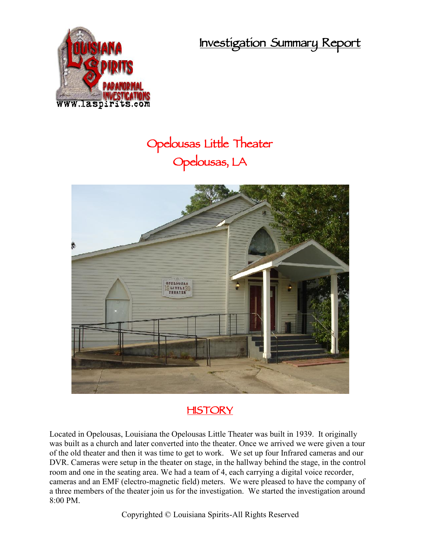**Investigation Summary Report**



## **Opelousas Little Theater Opelousas, LA**



## **HISTORY**

Located in Opelousas, Louisiana the Opelousas Little Theater was built in 1939. It originally was built as a church and later converted into the theater. Once we arrived we were given a tour of the old theater and then it was time to get to work. We set up four Infrared cameras and our DVR. Cameras were setup in the theater on stage, in the hallway behind the stage, in the control room and one in the seating area. We had a team of 4, each carrying a digital voice recorder, cameras and an EMF (electro-magnetic field) meters. We were pleased to have the company of a three members of the theater join us for the investigation. We started the investigation around 8:00 PM.

Copyrighted © Louisiana Spirits-All Rights Reserved